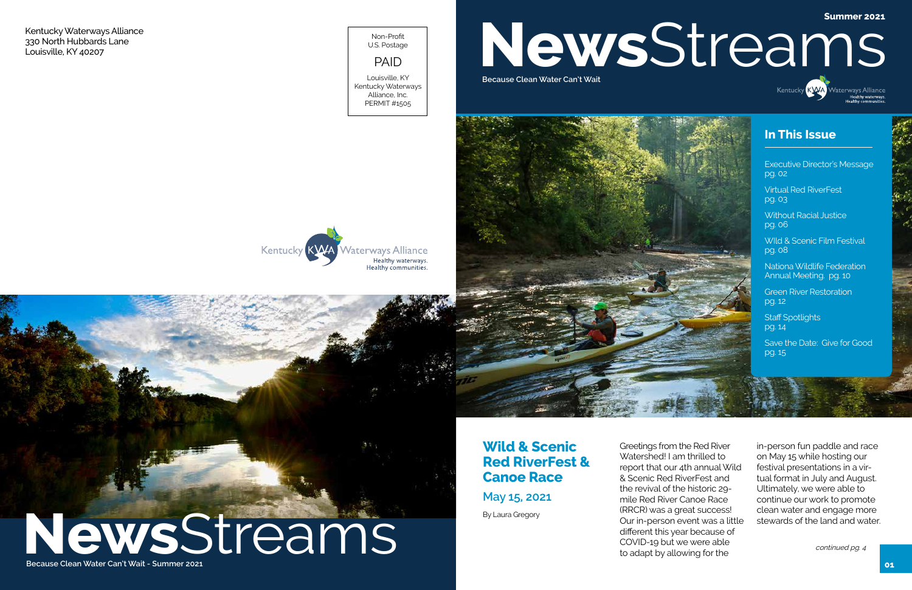**Because Clean Water Can't Wait - Summer 2021**

Greetings from the Red River Watershed! I am thrilled to report that our 4th annual Wild & Scenic Red RiverFest and the revival of the historic 29 mile Red River Canoe Race (RRCR) was a great success! Our in-person event was a little different this year because of COVID-19 but we were able to adapt by allowing for the



# **News Streams Mater Can't Wait - Summer 2021**

**Staff Spotlights** pg. 14

in-person fun paddle and race on May 15 while hosting our festival presentations in a virtual format in July and August. Ultimately, we were able to continue our work to promote clean water and engage more stewards of the land and water.

# **Summer 2021**NewsStreams Kentucky KVYA Waterways Alliance

### **Wild & Scenic Red RiverFest & Canoe Race**

**May 15, 2021**

### **In This Issue**

Executive Director's Message pg. 02

Virtual Red RiverFest pg. 03

Without Racial Justice pg. 06

WIld & Scenic Film Festival pg. 08

Nationa Wildlife Federation Annual Meeting. pg. 10

Green River Restoration pg. 12

Save the Date: Give for Good pg. 15

Kentucky Waterways Alliance 330 North Hubbards Lane Louisville, KY 40207

Non-Profit U.S. Postage

### PAID

Louisville, KY Kentucky Waterways Alliance, Inc. PERMIT #1505



**Because Clean Water Can't Wait**

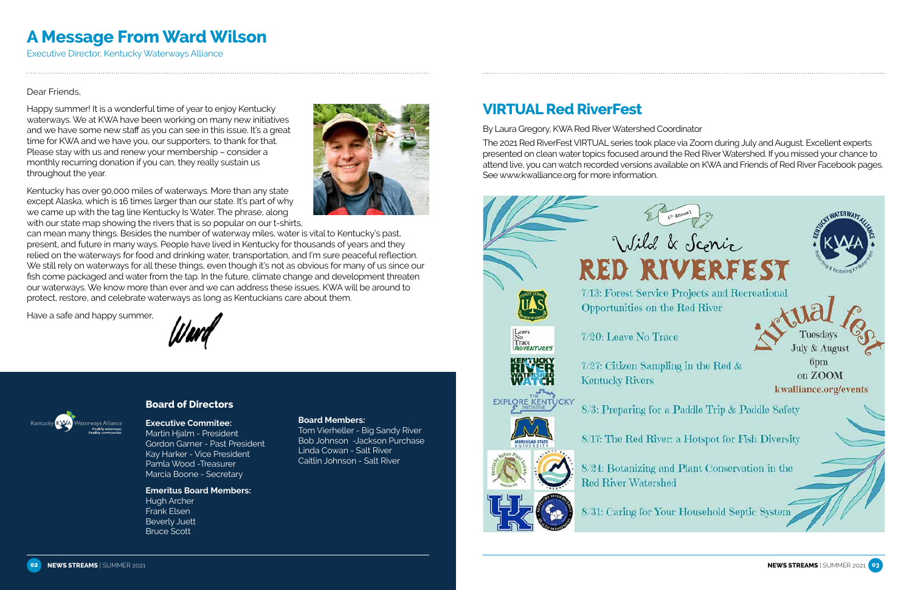### Dear Friends,

Happy summer! It is a wonderful time of year to enjoy Kentucky waterways. We at KWA have been working on many new initiatives and we have some new staff as you can see in this issue. It's a great time for KWA and we have you, our supporters, to thank for that. Please stay with us and renew your membership – consider a monthly recurring donation if you can, they really sustain us throughout the year.

Kentucky has over 90,000 miles of waterways. More than any state except Alaska, which is 16 times larger than our state. It's part of why we came up with the tag line Kentucky Is Water. The phrase, along with our state map showing the rivers that is so popular on our t-shirts,



Have a safe and happy summer,





### **Board of Directors**

### **Executive Commitee:**

Martin Hjalm - President Gordon Garner - Past President Kay Harker - Vice President Pamla Wood -Treasurer Marcia Boone - Secretary

### **Emeritus Board Members:**

Hugh Archer Frank Elsen Beverly Juett Bruce Scott

#### **Board Members:**

Tom Vierheller - Big Sandy River Bob Johnson -Jackson Purchase Linda Cowan - Salt River Caitlin Johnson - Salt River





# **A Message From Ward Wilson**

Executive Director, Kentucky Waterways Alliance

# **VIRTUAL Red RiverFest**

By Laura Gregory, KWA Red River Watershed Coordinator The 2021 Red RiverFest VIRTUAL series took place via Zoom during July and August. Excellent experts presented on clean water topics focused around the Red River Watershed. If you missed your chance to attend live, you can watch recorded versions available on KWA and Friends of Red River Facebook pages. See www.kwalliance.org for more information.

# Opportunities on the Red River Leave<br>No<br>Trace 7/20: Leave No Trace **ADVENTURES**  $7/27$ : Citizen Sampling in the Red & **Kentucky Rivers EXPLORE KENTUCKY**

**Red River Watershed** 

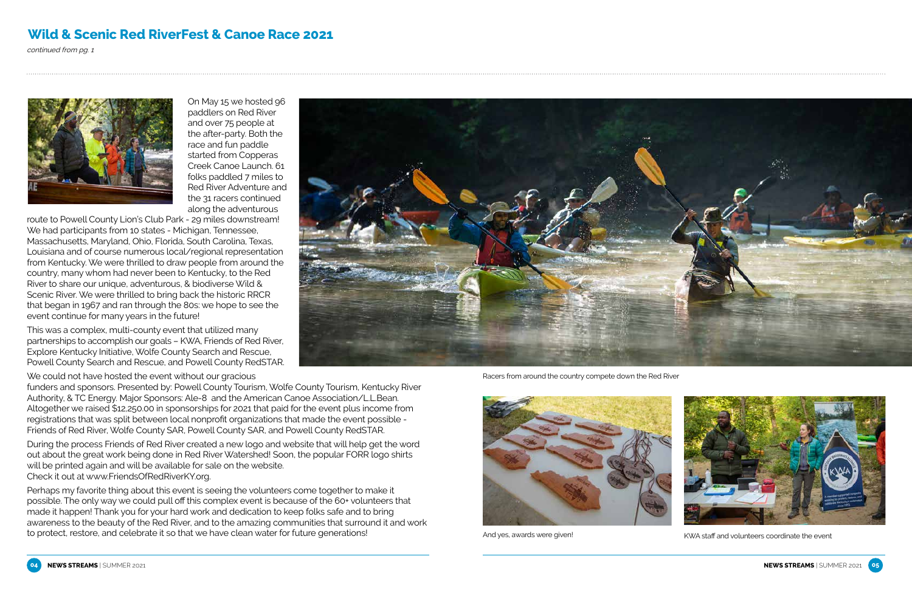

And yes, awards were given!<br>
KWA staff and volunteers coordinate the event



On May 15 we hosted 96 paddlers on Red River and over 75 people at the after-party. Both the race and fun paddle started from Copperas Creek Canoe Launch. 61 folks paddled 7 miles to Red River Adventure and the 31 racers continued along the adventurous

route to Powell County Lion's Club Park - 29 miles downstream! We had participants from 10 states - Michigan, Tennessee, Massachusetts, Maryland, Ohio, Florida, South Carolina, Texas, Louisiana and of course numerous local/regional representation from Kentucky. We were thrilled to draw people from around the country, many whom had never been to Kentucky, to the Red River to share our unique, adventurous, & biodiverse Wild & Scenic River. We were thrilled to bring back the historic RRCR that began in 1967 and ran through the 80s: we hope to see the event continue for many years in the future!

This was a complex, multi-county event that utilized many partnerships to accomplish our goals – KWA, Friends of Red River, Explore Kentucky Initiative, Wolfe County Search and Rescue, Powell County Search and Rescue, and Powell County RedSTAR.

We could not have hosted the event without our gracious

funders and sponsors. Presented by: Powell County Tourism, Wolfe County Tourism, Kentucky River Authority, & TC Energy. Major Sponsors: Ale-8 and the American Canoe Association/L.L.Bean. Altogether we raised \$12,250.00 in sponsorships for 2021 that paid for the event plus income from registrations that was split between local nonprofit organizations that made the event possible - Friends of Red River, Wolfe County SAR, Powell County SAR, and Powell County RedSTAR.

During the process Friends of Red River created a new logo and website that will help get the word out about the great work being done in Red River Watershed! Soon, the popular FORR logo shirts will be printed again and will be available for sale on the website. Check it out at www.FriendsOfRedRiverKY.org.

Perhaps my favorite thing about this event is seeing the volunteers come together to make it possible. The only way we could pull off this complex event is because of the 60+ volunteers that made it happen! Thank you for your hard work and dedication to keep folks safe and to bring awareness to the beauty of the Red River, and to the amazing communities that surround it and work to protect, restore, and celebrate it so that we have clean water for future generations!



### **Wild & Scenic Red RiverFest & Canoe Race 2021**

continued from pg. 1



Racers from around the country compete down the Red River

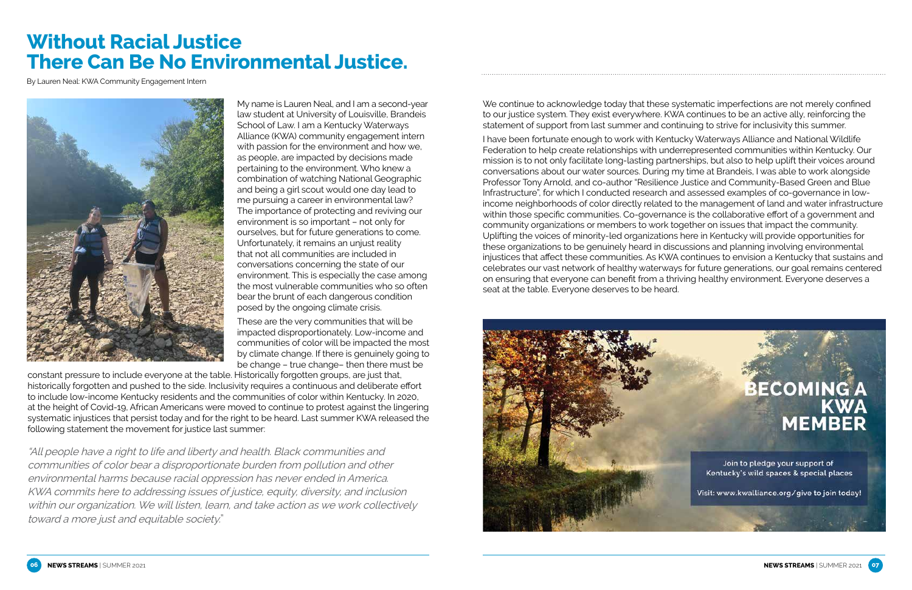

My name is Lauren Neal, and I am a second-year law student at University of Louisville, Brandeis School of Law. I am a Kentucky Waterways Alliance (KWA) community engagement intern with passion for the environment and how we, as people, are impacted by decisions made pertaining to the environment. Who knew a combination of watching National Geographic and being a girl scout would one day lead to me pursuing a career in environmental law? The importance of protecting and reviving our environment is so important – not only for ourselves, but for future generations to come. Unfortunately, it remains an unjust reality that not all communities are included in conversations concerning the state of our environment. This is especially the case among the most vulnerable communities who so often bear the brunt of each dangerous condition posed by the ongoing climate crisis.

These are the very communities that will be impacted disproportionately. Low-income and communities of color will be impacted the most by climate change. If there is genuinely going to be change – true change– then there must be

constant pressure to include everyone at the table. Historically forgotten groups, are just that, historically forgotten and pushed to the side. Inclusivity requires a continuous and deliberate effort to include low-income Kentucky residents and the communities of color within Kentucky. In 2020, at the height of Covid-19, African Americans were moved to continue to protest against the lingering systematic injustices that persist today and for the right to be heard. Last summer KWA released the following statement the movement for justice last summer:

"All people have a right to life and liberty and health. Black communities and communities of color bear a disproportionate burden from pollution and other environmental harms because racial oppression has never ended in America. KWA commits here to addressing issues of justice, equity, diversity, and inclusion within our organization. We will listen, learn, and take action as we work collectively toward a more just and equitable society."

# **Without Racial Justice There Can Be No Environmental Justice.**

By Lauren Neal: KWA Community Engagement Intern



We continue to acknowledge today that these systematic imperfections are not merely confined to our justice system. They exist everywhere. KWA continues to be an active ally, reinforcing the statement of support from last summer and continuing to strive for inclusivity this summer.

I have been fortunate enough to work with Kentucky Waterways Alliance and National Wildlife Federation to help create relationships with underrepresented communities within Kentucky. Our mission is to not only facilitate long-lasting partnerships, but also to help uplift their voices around conversations about our water sources. During my time at Brandeis, I was able to work alongside Professor Tony Arnold, and co-author "Resilience Justice and Community-Based Green and Blue Infrastructure", for which I conducted research and assessed examples of co-governance in lowincome neighborhoods of color directly related to the management of land and water infrastructure within those specific communities. Co-governance is the collaborative effort of a government and community organizations or members to work together on issues that impact the community. Uplifting the voices of minority-led organizations here in Kentucky will provide opportunities for these organizations to be genuinely heard in discussions and planning involving environmental injustices that affect these communities. As KWA continues to envision a Kentucky that sustains and celebrates our vast network of healthy waterways for future generations, our goal remains centered on ensuring that everyone can benefit from a thriving healthy environment. Everyone deserves a seat at the table. Everyone deserves to be heard.

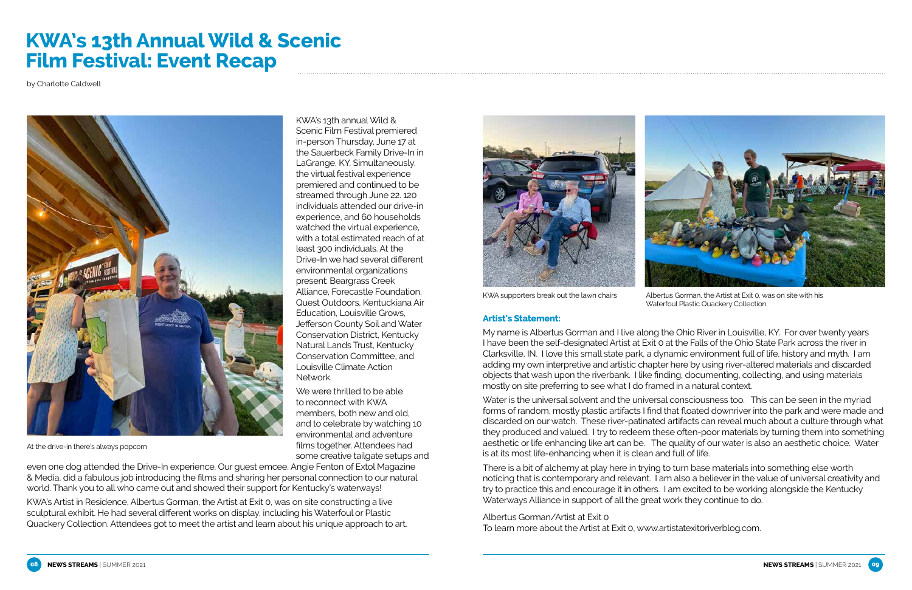KWA's 13th annual Wild & Scenic Film Festival premiered in-person Thursday, June 17 at the Sauerbeck Family Drive-In in LaGrange, KY. Simultaneously, the virtual festival experience premiered and continued to be streamed through June 22. 120 individuals attended our drive-in experience, and 60 households watched the virtual experience, with a total estimated reach of at least 300 individuals. At the Drive-In we had several different environmental organizations present: Beargrass Creek Alliance, Forecastle Foundation, Quest Outdoors, Kentuckiana Air Education, Louisville Grows, Jefferson County Soil and Water Conservation District, Kentucky Natural Lands Trust, Kentucky Conservation Committee, and Louisville Climate Action Network.

We were thrilled to be able to reconnect with KWA members, both new and old, and to celebrate by watching 10 environmental and adventure films together. Attendees had some creative tailgate setups and



even one dog attended the Drive-In experience. Our guest emcee, Angie Fenton of Extol Magazine & Media, did a fabulous job introducing the films and sharing her personal connection to our natural world. Thank you to all who came out and showed their support for Kentucky's waterways!

KWA's Artist in Residence, Albertus Gorman, the Artist at Exit 0, was on site constructing a live sculptural exhibit. He had several different works on display, including his Waterfoul or Plastic Quackery Collection. Attendees got to meet the artist and learn about his unique approach to art.





# **KWA's 13th Annual Wild & Scenic Film Festival: Event Recap**

by Charlotte Caldwell



#### **Artist's Statement:**

My name is Albertus Gorman and I live along the Ohio River in Louisville, KY. For over twenty years I have been the self-designated Artist at Exit 0 at the Falls of the Ohio State Park across the river in Clarksville, IN. I love this small state park, a dynamic environment full of life, history and myth. I am adding my own interpretive and artistic chapter here by using river-altered materials and discarded objects that wash upon the riverbank. I like finding, documenting, collecting, and using materials mostly on site preferring to see what I do framed in a natural context.

Water is the universal solvent and the universal consciousness too. This can be seen in the myriad forms of random, mostly plastic artifacts I find that floated downriver into the park and were made and discarded on our watch. These river-patinated artifacts can reveal much about a culture through what they produced and valued. I try to redeem these often-poor materials by turning them into something aesthetic or life enhancing like art can be. The quality of our water is also an aesthetic choice. Water is at its most life-enhancing when it is clean and full of life.

There is a bit of alchemy at play here in trying to turn base materials into something else worth noticing that is contemporary and relevant. I am also a believer in the value of universal creativity and try to practice this and encourage it in others. I am excited to be working alongside the Kentucky Waterways Alliance in support of all the great work they continue to do.

Albertus Gorman/Artist at Exit 0 To learn more about the Artist at Exit 0, www.artistatexit0riverblog.com.

Albertus Gorman, the Artist at Exit 0, was on site with his Waterfoul Plastic Quackery Collection

KWA supporters break out the lawn chairs

At the drive-in there's always popcorn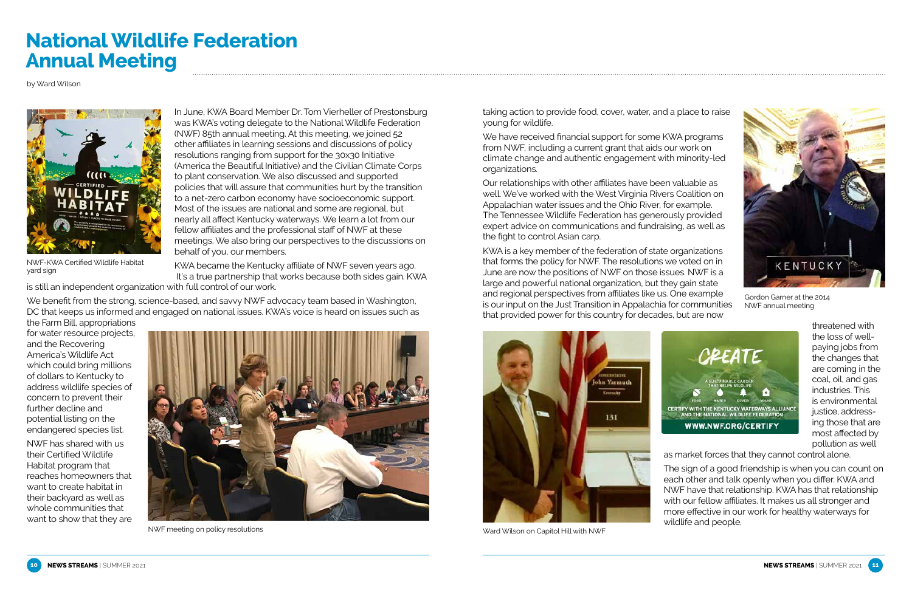In June, KWA Board Member Dr. Tom Vierheller of Prestonsburg was KWA's voting delegate to the National Wildlife Federation (NWF) 85th annual meeting. At this meeting, we joined 52 other affiliates in learning sessions and discussions of policy resolutions ranging from support for the 30x30 Initiative (America the Beautiful Initiative) and the Civilian Climate Corps to plant conservation. We also discussed and supported policies that will assure that communities hurt by the transition to a net-zero carbon economy have socioeconomic support. Most of the issues are national and some are regional, but nearly all affect Kentucky waterways. We learn a lot from our fellow affiliates and the professional staff of NWF at these meetings. We also bring our perspectives to the discussions on behalf of you, our members.

KWA became the Kentucky affiliate of NWF seven years ago. It's a true partnership that works because both sides gain. KWA

is still an independent organization with full control of our work.

We benefit from the strong, science-based, and savvy NWF advocacy team based in Washington, DC that keeps us informed and engaged on national issues. KWA's voice is heard on issues such as

the Farm Bill, appropriations for water resource projects, and the Recovering America's Wildlife Act which could bring millions of dollars to Kentucky to address wildlife species of concern to prevent their further decline and potential listing on the endangered species list.

NWF has shared with us their Certified Wildlife Habitat program that reaches homeowners that want to create habitat in their backyard as well as whole communities that want to show that they are

# **National Wildlife Federation Annual Meeting**

taking action to provide food, cover, water, and a place to raise young for wildlife.

We have received financial support for some KWA programs from NWF, including a current grant that aids our work on climate change and authentic engagement with minority-led organizations.

Our relationships with other affiliates have been valuable as well. We've worked with the West Virginia Rivers Coalition on Appalachian water issues and the Ohio River, for example. The Tennessee Wildlife Federation has generously provided expert advice on communications and fundraising, as well as the fight to control Asian carp.

KWA is a key member of the federation of state organizations that forms the policy for NWF. The resolutions we voted on in June are now the positions of NWF on those issues. NWF is a large and powerful national organization, but they gain state and regional perspectives from affiliates like us. One example is our input on the Just Transition in Appalachia for communities that provided power for this country for decades, but are now

threatened with the loss of wellpaying jobs from the changes that are coming in the coal, oil, and gas industries. This is environmental justice, addressing those that are most affected by pollution as well

as market forces that they cannot control alone.

The sign of a good friendship is when you can count on each other and talk openly when you differ. KWA and NWF have that relationship. KWA has that relationship with our fellow affiliates. It makes us all stronger and more effective in our work for healthy waterways for wildlife and people.





Gordon Garner at the 2014 NWF annual meeting



by Ward Wilson



Ward Wilson on Capitol Hill with NWF



yard sign



NWF meeting on policy resolutions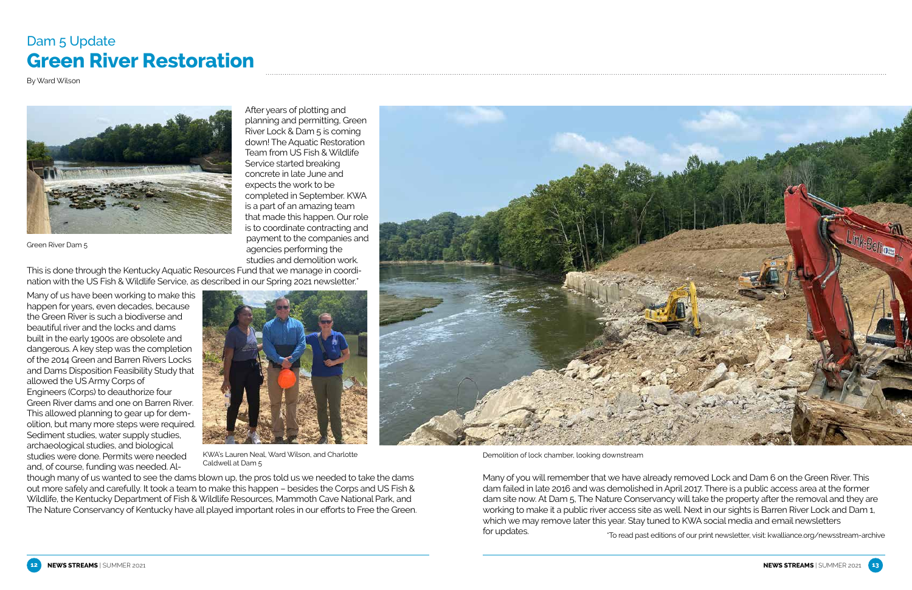After years of plotting and planning and permitting, Green River Lock & Dam 5 is coming down! The Aquatic Restoration Team from US Fish & Wildlife Service started breaking concrete in late June and expects the work to be completed in September. KWA is a part of an amazing team that made this happen. Our role is to coordinate contracting and payment to the companies and agencies performing the studies and demolition work.

This is done through the Kentucky Aquatic Resources Fund that we manage in coordination with the US Fish & Wildlife Service, as described in our Spring 2021 newsletter.\*

Many of us have been working to make this happen for years, even decades, because the Green River is such a biodiverse and beautiful river and the locks and dams built in the early 1900s are obsolete and dangerous. A key step was the completion of the 2014 Green and Barren Rivers Locks and Dams Disposition Feasibility Study that allowed the US Army Corps of Engineers (Corps) to deauthorize four Green River dams and one on Barren River. This allowed planning to gear up for demolition, but many more steps were required. Sediment studies, water supply studies, archaeological studies, and biological studies were done. Permits were needed and, of course, funding was needed. Al-

though many of us wanted to see the dams blown up, the pros told us we needed to take the dams out more safely and carefully. It took a team to make this happen – besides the Corps and US Fish & Wildlife, the Kentucky Department of Fish & Wildlife Resources, Mammoth Cave National Park, and The Nature Conservancy of Kentucky have all played important roles in our efforts to Free the Green.







KWA's Lauren Neal, Ward Wilson, and Charlotte Caldwell at Dam 5

Many of you will remember that we have already removed Lock and Dam 6 on the Green River. This dam failed in late 2016 and was demolished in April 2017. There is a public access area at the former dam site now. At Dam 5, The Nature Conservancy will take the property after the removal and they are working to make it a public river access site as well. Next in our sights is Barren River Lock and Dam 1, which we may remove later this year. Stay tuned to KWA social media and email newsletters for updates. \*To read past editions of our print newsletter, visit: kwalliance.org/newsstream-archive

### Dam 5 Update **Green River Restoration**

By Ward Wilson



Demolition of lock chamber, looking downstream

Green River Dam 5